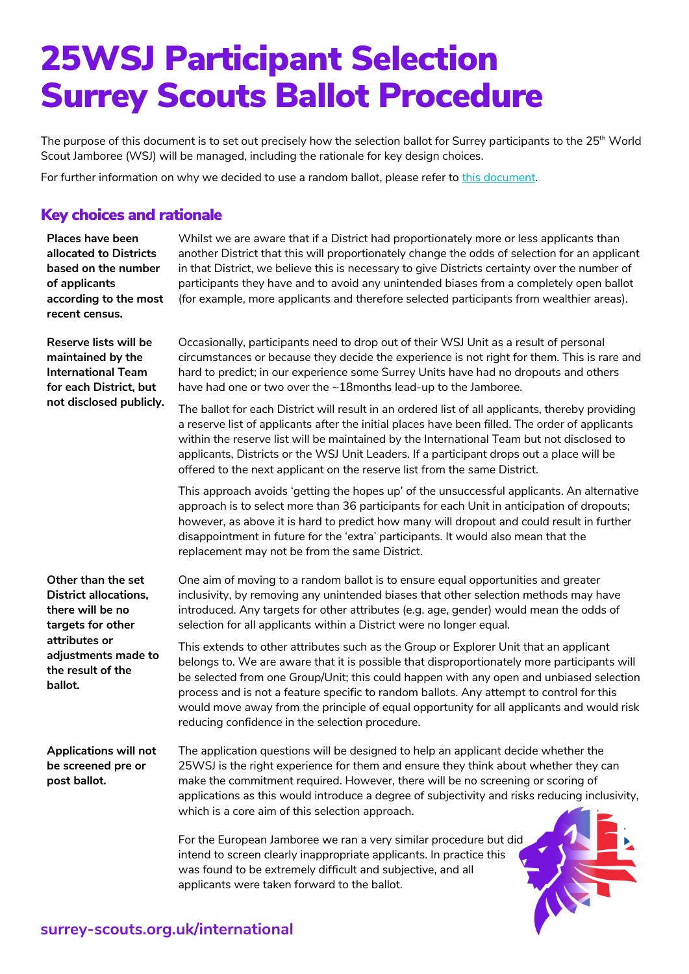## 25WSJ Participant Selection Surrey Scouts Ballot Procedure

The purpose of this document is to set out precisely how the selection ballot for Surrey participants to the 25<sup>th</sup> World Scout Jamboree (WSJ) will be managed, including the rationale for key design choices.

For further information on why we decided to use a random ballot, please refer to this document.

## Key choices and rationale

| Places have been<br>allocated to Districts<br>based on the number<br>of applicants<br>according to the most<br>recent census.                                       | Whilst we are aware that if a District had proportionately more or less applicants than<br>another District that this will proportionately change the odds of selection for an applicant<br>in that District, we believe this is necessary to give Districts certainty over the number of<br>participants they have and to avoid any unintended biases from a completely open ballot<br>(for example, more applicants and therefore selected participants from wealthier areas).                                            |
|---------------------------------------------------------------------------------------------------------------------------------------------------------------------|-----------------------------------------------------------------------------------------------------------------------------------------------------------------------------------------------------------------------------------------------------------------------------------------------------------------------------------------------------------------------------------------------------------------------------------------------------------------------------------------------------------------------------|
| Reserve lists will be<br>maintained by the<br><b>International Team</b><br>for each District, but<br>not disclosed publicly.                                        | Occasionally, participants need to drop out of their WSJ Unit as a result of personal<br>circumstances or because they decide the experience is not right for them. This is rare and<br>hard to predict; in our experience some Surrey Units have had no dropouts and others<br>have had one or two over the ~18months lead-up to the Jamboree.                                                                                                                                                                             |
|                                                                                                                                                                     | The ballot for each District will result in an ordered list of all applicants, thereby providing<br>a reserve list of applicants after the initial places have been filled. The order of applicants<br>within the reserve list will be maintained by the International Team but not disclosed to<br>applicants, Districts or the WSJ Unit Leaders. If a participant drops out a place will be<br>offered to the next applicant on the reserve list from the same District.                                                  |
|                                                                                                                                                                     | This approach avoids 'getting the hopes up' of the unsuccessful applicants. An alternative<br>approach is to select more than 36 participants for each Unit in anticipation of dropouts;<br>however, as above it is hard to predict how many will dropout and could result in further<br>disappointment in future for the 'extra' participants. It would also mean that the<br>replacement may not be from the same District.                                                                                               |
| Other than the set<br><b>District allocations,</b><br>there will be no<br>targets for other<br>attributes or<br>adjustments made to<br>the result of the<br>ballot. | One aim of moving to a random ballot is to ensure equal opportunities and greater<br>inclusivity, by removing any unintended biases that other selection methods may have<br>introduced. Any targets for other attributes (e.g. age, gender) would mean the odds of<br>selection for all applicants within a District were no longer equal.                                                                                                                                                                                 |
|                                                                                                                                                                     | This extends to other attributes such as the Group or Explorer Unit that an applicant<br>belongs to. We are aware that it is possible that disproportionately more participants will<br>be selected from one Group/Unit; this could happen with any open and unbiased selection<br>process and is not a feature specific to random ballots. Any attempt to control for this<br>would move away from the principle of equal opportunity for all applicants and would risk<br>reducing confidence in the selection procedure. |
| Applications will not<br>be screened pre or<br>post ballot.                                                                                                         | The application questions will be designed to help an applicant decide whether the<br>25WSJ is the right experience for them and ensure they think about whether they can<br>make the commitment required. However, there will be no screening or scoring of<br>applications as this would introduce a degree of subjectivity and risks reducing inclusivity,<br>which is a core aim of this selection approach.                                                                                                            |
|                                                                                                                                                                     | For the European Jamboree we ran a very similar procedure but did<br>intend to screen clearly inappropriate applicants. In practice this<br>was found to be extremely difficult and subjective, and all<br>applicants were taken forward to the ballot.                                                                                                                                                                                                                                                                     |
|                                                                                                                                                                     |                                                                                                                                                                                                                                                                                                                                                                                                                                                                                                                             |